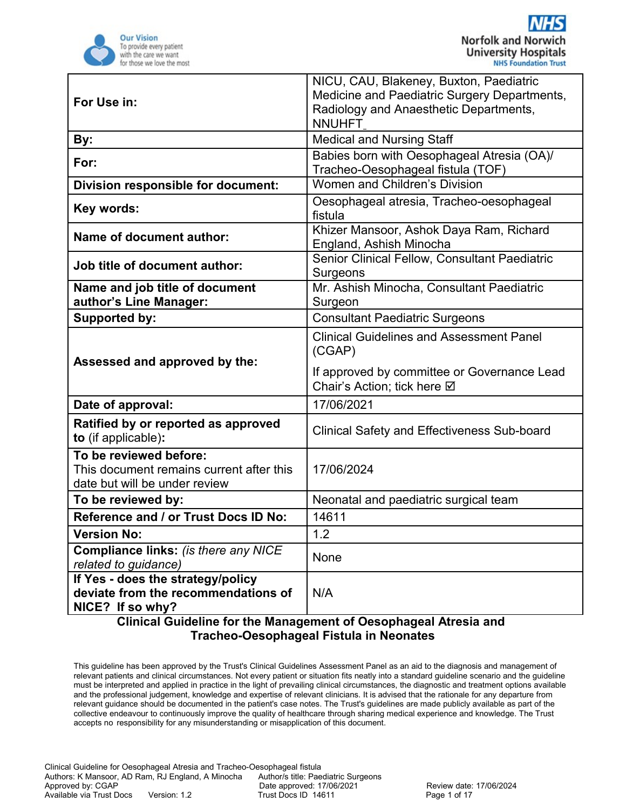

| For Use in:                                                                                         | NICU, CAU, Blakeney, Buxton, Paediatric<br>Medicine and Paediatric Surgery Departments,<br>Radiology and Anaesthetic Departments,<br><b>NNUHFT</b> |  |
|-----------------------------------------------------------------------------------------------------|----------------------------------------------------------------------------------------------------------------------------------------------------|--|
| By:                                                                                                 | <b>Medical and Nursing Staff</b>                                                                                                                   |  |
| For:                                                                                                | Babies born with Oesophageal Atresia (OA)/<br>Tracheo-Oesophageal fistula (TOF)                                                                    |  |
| Division responsible for document:                                                                  | Women and Children's Division                                                                                                                      |  |
| Key words:                                                                                          | Oesophageal atresia, Tracheo-oesophageal<br>fistula                                                                                                |  |
| <b>Name of document author:</b>                                                                     | Khizer Mansoor, Ashok Daya Ram, Richard<br>England, Ashish Minocha                                                                                 |  |
| Job title of document author:                                                                       | Senior Clinical Fellow, Consultant Paediatric<br>Surgeons                                                                                          |  |
| Name and job title of document<br>author's Line Manager:                                            | Mr. Ashish Minocha, Consultant Paediatric<br>Surgeon                                                                                               |  |
| <b>Supported by:</b>                                                                                | <b>Consultant Paediatric Surgeons</b>                                                                                                              |  |
| Assessed and approved by the:                                                                       | <b>Clinical Guidelines and Assessment Panel</b><br>(CGAP)                                                                                          |  |
|                                                                                                     | If approved by committee or Governance Lead<br>Chair's Action; tick here Ø                                                                         |  |
| Date of approval:                                                                                   | 17/06/2021                                                                                                                                         |  |
| Ratified by or reported as approved<br>to (if applicable):                                          | <b>Clinical Safety and Effectiveness Sub-board</b>                                                                                                 |  |
| To be reviewed before:<br>This document remains current after this<br>date but will be under review | 17/06/2024                                                                                                                                         |  |
| To be reviewed by:                                                                                  | Neonatal and paediatric surgical team                                                                                                              |  |
| Reference and / or Trust Docs ID No:                                                                | 14611                                                                                                                                              |  |
| <b>Version No:</b>                                                                                  | 1.2                                                                                                                                                |  |
| <b>Compliance links: (is there any NICE</b><br>related to guidance)                                 | None                                                                                                                                               |  |
| If Yes - does the strategy/policy<br>deviate from the recommendations of<br>NICE? If so why?        | N/A                                                                                                                                                |  |

This guideline has been approved by the Trust's Clinical Guidelines Assessment Panel as an aid to the diagnosis and management of relevant patients and clinical circumstances. Not every patient or situation fits neatly into a standard guideline scenario and the guideline must be interpreted and applied in practice in the light of prevailing clinical circumstances, the diagnostic and treatment options available and the professional judgement, knowledge and expertise of relevant clinicians. It is advised that the rationale for any departure from relevant guidance should be documented in the patient's case notes. The Trust's guidelines are made publicly available as part of the collective endeavour to continuously improve the quality of healthcare through sharing medical experience and knowledge. The Trust accepts no responsibility for any misunderstanding or misapplication of this document.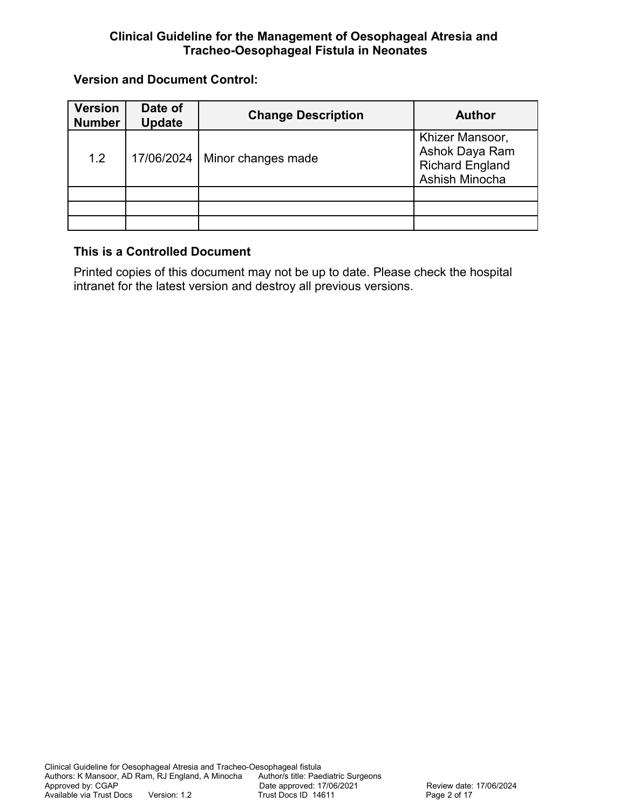## **Version and Document Control:**

| <b>Version</b><br><b>Number</b> | Date of<br><b>Update</b> | <b>Change Description</b> | <b>Author</b>                                                                 |
|---------------------------------|--------------------------|---------------------------|-------------------------------------------------------------------------------|
| 1.2                             | 17/06/2024               | Minor changes made        | Khizer Mansoor,<br>Ashok Daya Ram<br><b>Richard England</b><br>Ashish Minocha |
|                                 |                          |                           |                                                                               |
|                                 |                          |                           |                                                                               |
|                                 |                          |                           |                                                                               |

## **This is a Controlled Document**

Printed copies of this document may not be up to date. Please check the hospital intranet for the latest version and destroy all previous versions.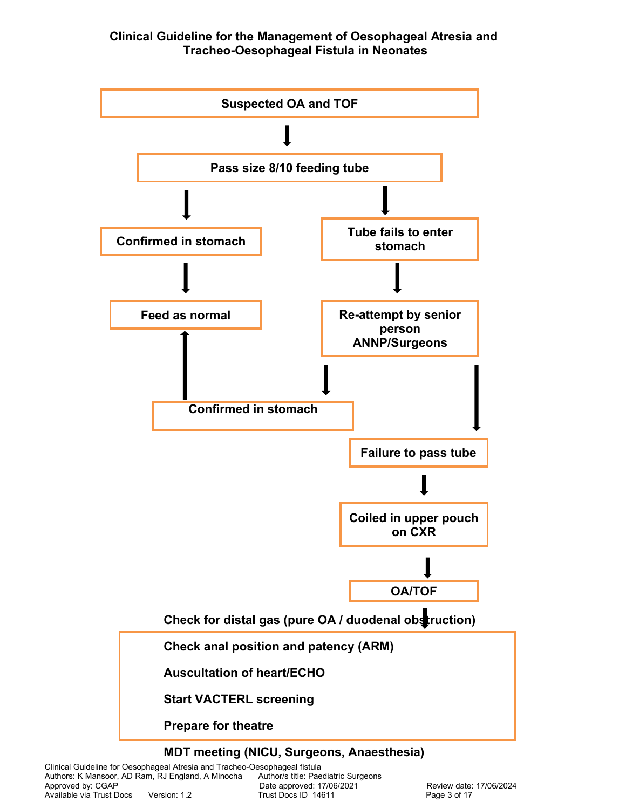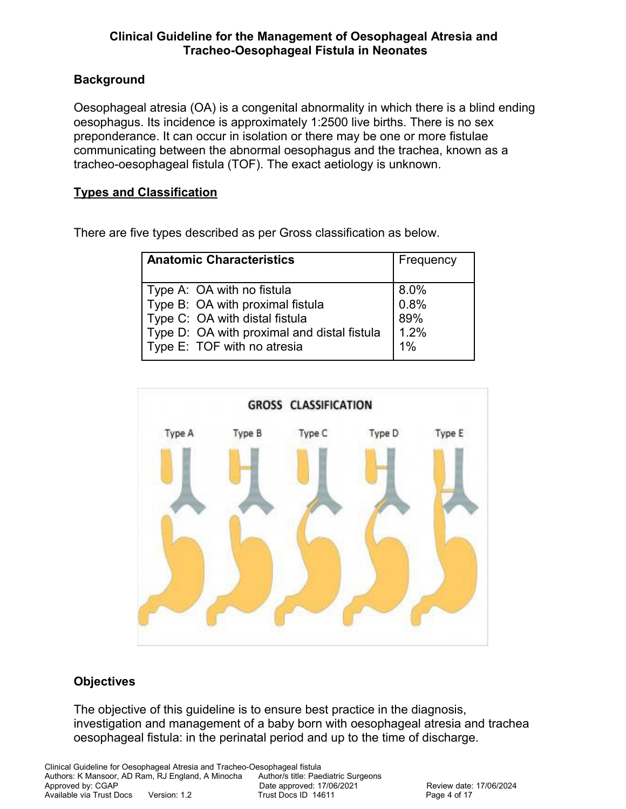## **Background**

Oesophageal atresia (OA) is a congenital abnormality in which there is a blind ending oesophagus. Its incidence is approximately 1:2500 live births. There is no sex preponderance. It can occur in isolation or there may be one or more fistulae communicating between the abnormal oesophagus and the trachea, known as a tracheo-oesophageal fistula (TOF). The exact aetiology is unknown.

## **Types and Classification**

There are five types described as per Gross classification as below.

| <b>Anatomic Characteristics</b>             | Frequency |
|---------------------------------------------|-----------|
| Type A: OA with no fistula                  | 8.0%      |
| Type B: OA with proximal fistula            | 0.8%      |
| Type C: OA with distal fistula              | 89%       |
| Type D: OA with proximal and distal fistula | 1.2%      |
| Type E: TOF with no atresia                 | $1\%$     |



#### **Objectives**

The objective of this guideline is to ensure best practice in the diagnosis, investigation and management of a baby born with oesophageal atresia and trachea oesophageal fistula: in the perinatal period and up to the time of discharge.

Clinical Guideline for Oesophageal Atresia and Tracheo-Oesophageal fistula Authors: K Mansoor, AD Ram, RJ England, A Minocha Author/s title: Paediatric Surgeons<br>Approved by: CGAP Date approved: 17/06/2021 Date approved: 17/06/2021 Review date: 17/06/2024 Available via Trust Docs Version: 1.2 Trust Docs ID 14611 Page 4 of 17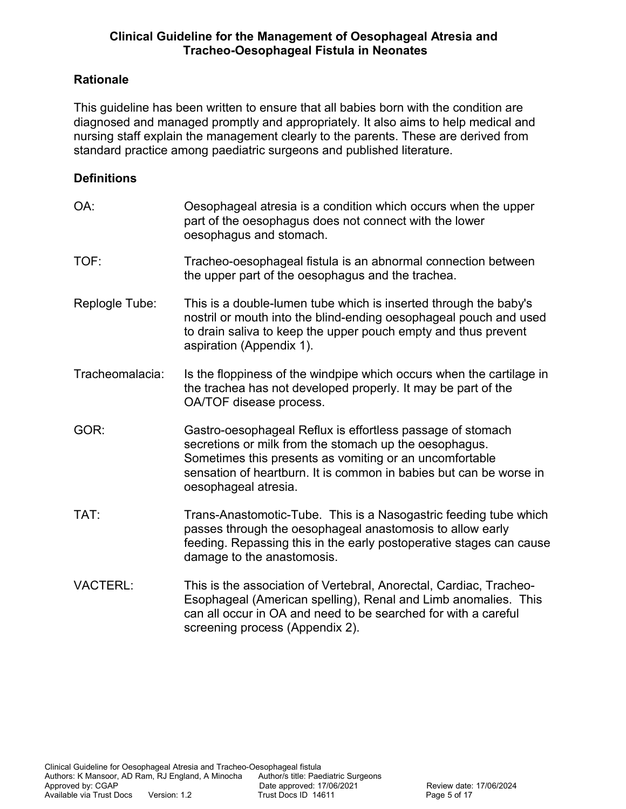## **Rationale**

This guideline has been written to ensure that all babies born with the condition are diagnosed and managed promptly and appropriately. It also aims to help medical and nursing staff explain the management clearly to the parents. These are derived from standard practice among paediatric surgeons and published literature.

## **Definitions**

| OA:             | Oesophageal atresia is a condition which occurs when the upper<br>part of the oesophagus does not connect with the lower<br>oesophagus and stomach.                                                                                                                           |
|-----------------|-------------------------------------------------------------------------------------------------------------------------------------------------------------------------------------------------------------------------------------------------------------------------------|
| TOF:            | Tracheo-oesophageal fistula is an abnormal connection between<br>the upper part of the oesophagus and the trachea.                                                                                                                                                            |
| Replogle Tube:  | This is a double-lumen tube which is inserted through the baby's<br>nostril or mouth into the blind-ending oesophageal pouch and used<br>to drain saliva to keep the upper pouch empty and thus prevent<br>aspiration (Appendix 1).                                           |
| Tracheomalacia: | Is the floppiness of the windpipe which occurs when the cartilage in<br>the trachea has not developed properly. It may be part of the<br>OA/TOF disease process.                                                                                                              |
| GOR:            | Gastro-oesophageal Reflux is effortless passage of stomach<br>secretions or milk from the stomach up the oesophagus.<br>Sometimes this presents as vomiting or an uncomfortable<br>sensation of heartburn. It is common in babies but can be worse in<br>oesophageal atresia. |
| TAT:            | Trans-Anastomotic-Tube. This is a Nasogastric feeding tube which<br>passes through the oesophageal anastomosis to allow early<br>feeding. Repassing this in the early postoperative stages can cause<br>damage to the anastomosis.                                            |
| <b>VACTERL:</b> | This is the association of Vertebral, Anorectal, Cardiac, Tracheo-<br>Esophageal (American spelling), Renal and Limb anomalies. This<br>can all occur in OA and need to be searched for with a careful<br>screening process (Appendix 2).                                     |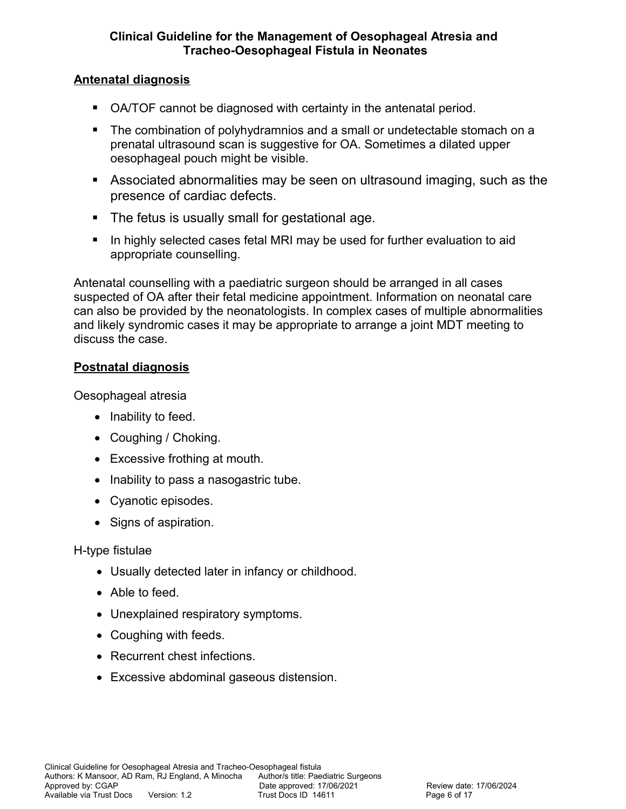## **Antenatal diagnosis**

- OA/TOF cannot be diagnosed with certainty in the antenatal period.
- The combination of polyhydramnios and a small or undetectable stomach on a prenatal ultrasound scan is suggestive for OA. Sometimes a dilated upper oesophageal pouch might be visible.
- Associated abnormalities may be seen on ultrasound imaging, such as the presence of cardiac defects.
- **The fetus is usually small for gestational age.**
- **In highly selected cases fetal MRI may be used for further evaluation to aid** appropriate counselling.

Antenatal counselling with a paediatric surgeon should be arranged in all cases suspected of OA after their fetal medicine appointment. Information on neonatal care can also be provided by the neonatologists. In complex cases of multiple abnormalities and likely syndromic cases it may be appropriate to arrange a joint MDT meeting to discuss the case.

## **Postnatal diagnosis**

Oesophageal atresia

- Inability to feed.
- Coughing / Choking.
- Excessive frothing at mouth.
- Inability to pass a nasogastric tube.
- Cyanotic episodes.
- Signs of aspiration.

## H-type fistulae

- Usually detected later in infancy or childhood.
- Able to feed.
- Unexplained respiratory symptoms.
- Coughing with feeds.
- Recurrent chest infections.
- Excessive abdominal gaseous distension.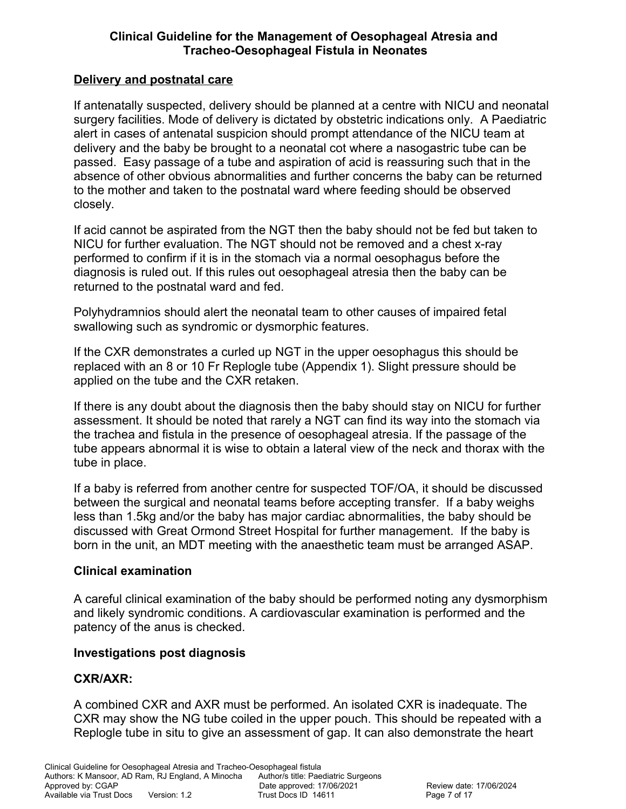## **Delivery and postnatal care**

If antenatally suspected, delivery should be planned at a centre with NICU and neonatal surgery facilities. Mode of delivery is dictated by obstetric indications only. A Paediatric alert in cases of antenatal suspicion should prompt attendance of the NICU team at delivery and the baby be brought to a neonatal cot where a nasogastric tube can be passed. Easy passage of a tube and aspiration of acid is reassuring such that in the absence of other obvious abnormalities and further concerns the baby can be returned to the mother and taken to the postnatal ward where feeding should be observed closely.

If acid cannot be aspirated from the NGT then the baby should not be fed but taken to NICU for further evaluation. The NGT should not be removed and a chest x-ray performed to confirm if it is in the stomach via a normal oesophagus before the diagnosis is ruled out. If this rules out oesophageal atresia then the baby can be returned to the postnatal ward and fed.

Polyhydramnios should alert the neonatal team to other causes of impaired fetal swallowing such as syndromic or dysmorphic features.

If the CXR demonstrates a curled up NGT in the upper oesophagus this should be replaced with an 8 or 10 Fr Replogle tube (Appendix 1). Slight pressure should be applied on the tube and the CXR retaken.

If there is any doubt about the diagnosis then the baby should stay on NICU for further assessment. It should be noted that rarely a NGT can find its way into the stomach via the trachea and fistula in the presence of oesophageal atresia. If the passage of the tube appears abnormal it is wise to obtain a lateral view of the neck and thorax with the tube in place.

If a baby is referred from another centre for suspected TOF/OA, it should be discussed between the surgical and neonatal teams before accepting transfer. If a baby weighs less than 1.5kg and/or the baby has major cardiac abnormalities, the baby should be discussed with Great Ormond Street Hospital for further management. If the baby is born in the unit, an MDT meeting with the anaesthetic team must be arranged ASAP.

#### **Clinical examination**

A careful clinical examination of the baby should be performed noting any dysmorphism and likely syndromic conditions. A cardiovascular examination is performed and the patency of the anus is checked.

#### **Investigations post diagnosis**

## **CXR/AXR:**

A combined CXR and AXR must be performed. An isolated CXR is inadequate. The CXR may show the NG tube coiled in the upper pouch. This should be repeated with a Replogle tube in situ to give an assessment of gap. It can also demonstrate the heart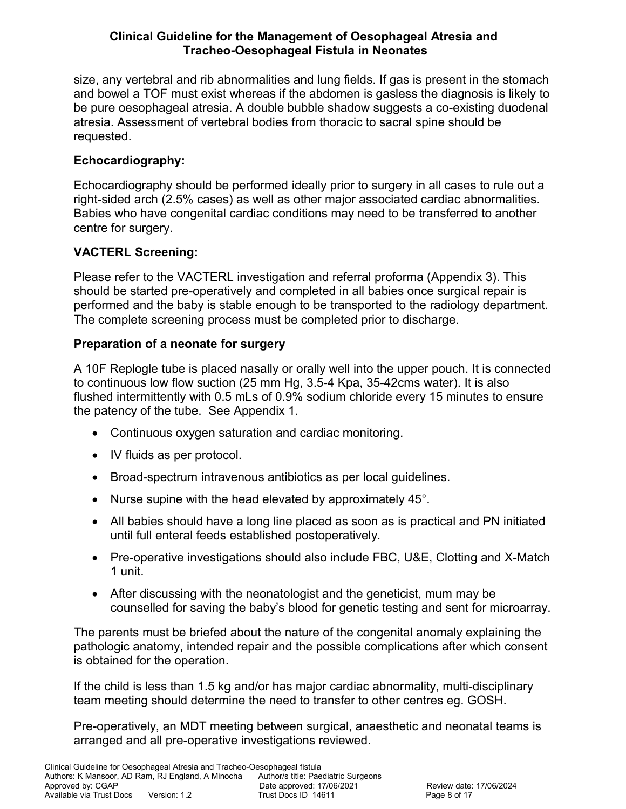size, any vertebral and rib abnormalities and lung fields. If gas is present in the stomach and bowel a TOF must exist whereas if the abdomen is gasless the diagnosis is likely to be pure oesophageal atresia. A double bubble shadow suggests a co-existing duodenal atresia. Assessment of vertebral bodies from thoracic to sacral spine should be requested.

# **Echocardiography:**

Echocardiography should be performed ideally prior to surgery in all cases to rule out a right-sided arch (2.5% cases) as well as other major associated cardiac abnormalities. Babies who have congenital cardiac conditions may need to be transferred to another centre for surgery.

# **VACTERL Screening:**

Please refer to the VACTERL investigation and referral proforma (Appendix 3). This should be started pre-operatively and completed in all babies once surgical repair is performed and the baby is stable enough to be transported to the radiology department. The complete screening process must be completed prior to discharge.

# **Preparation of a neonate for surgery**

A 10F Replogle tube is placed nasally or orally well into the upper pouch. It is connected to continuous low flow suction (25 mm Hg, 3.5-4 Kpa, 35-42cms water). It is also flushed intermittently with 0.5 mLs of 0.9% sodium chloride every 15 minutes to ensure the patency of the tube. See Appendix 1.

- Continuous oxygen saturation and cardiac monitoring.
- IV fluids as per protocol.
- Broad-spectrum intravenous antibiotics as per local guidelines.
- Nurse supine with the head elevated by approximately 45°.
- All babies should have a long line placed as soon as is practical and PN initiated until full enteral feeds established postoperatively.
- Pre-operative investigations should also include FBC, U&E, Clotting and X-Match 1 unit.
- After discussing with the neonatologist and the geneticist, mum may be counselled for saving the baby's blood for genetic testing and sent for microarray.

The parents must be briefed about the nature of the congenital anomaly explaining the pathologic anatomy, intended repair and the possible complications after which consent is obtained for the operation.

If the child is less than 1.5 kg and/or has major cardiac abnormality, multi-disciplinary team meeting should determine the need to transfer to other centres eg. GOSH.

Pre-operatively, an MDT meeting between surgical, anaesthetic and neonatal teams is arranged and all pre-operative investigations reviewed.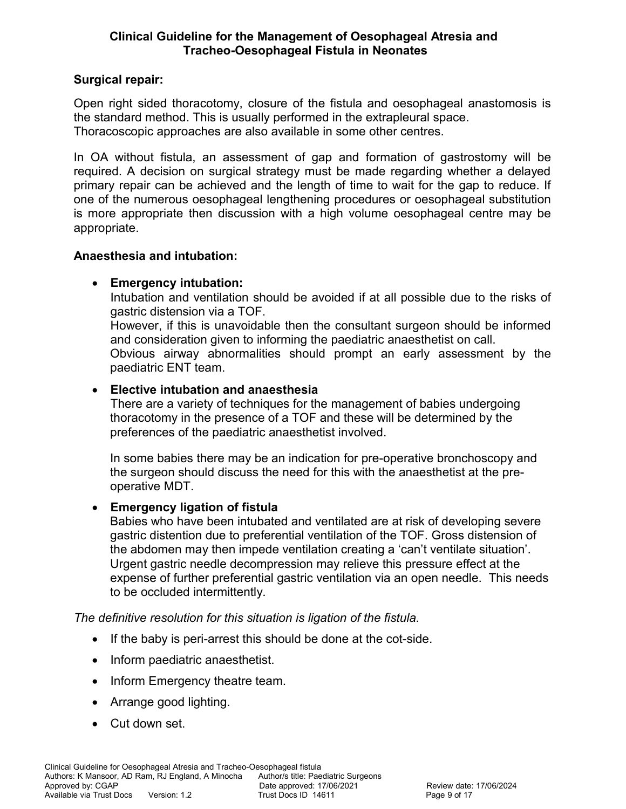## **Surgical repair:**

Open right sided thoracotomy, closure of the fistula and oesophageal anastomosis is the standard method. This is usually performed in the extrapleural space. Thoracoscopic approaches are also available in some other centres.

In OA without fistula, an assessment of gap and formation of gastrostomy will be required. A decision on surgical strategy must be made regarding whether a delayed primary repair can be achieved and the length of time to wait for the gap to reduce. If one of the numerous oesophageal lengthening procedures or oesophageal substitution is more appropriate then discussion with a high volume oesophageal centre may be appropriate.

#### **Anaesthesia and intubation:**

## **Emergency intubation:**

Intubation and ventilation should be avoided if at all possible due to the risks of gastric distension via a TOF.

However, if this is unavoidable then the consultant surgeon should be informed and consideration given to informing the paediatric anaesthetist on call. Obvious airway abnormalities should prompt an early assessment by the paediatric ENT team.

## **Elective intubation and anaesthesia**

There are a variety of techniques for the management of babies undergoing thoracotomy in the presence of a TOF and these will be determined by the preferences of the paediatric anaesthetist involved.

In some babies there may be an indication for pre-operative bronchoscopy and the surgeon should discuss the need for this with the anaesthetist at the preoperative MDT.

## **Emergency ligation of fistula**

Babies who have been intubated and ventilated are at risk of developing severe gastric distention due to preferential ventilation of the TOF. Gross distension of the abdomen may then impede ventilation creating a 'can't ventilate situation'. Urgent gastric needle decompression may relieve this pressure effect at the expense of further preferential gastric ventilation via an open needle. This needs to be occluded intermittently.

*The definitive resolution for this situation is ligation of the fistula.* 

- If the baby is peri-arrest this should be done at the cot-side.
- Inform paediatric anaesthetist.
- Inform Emergency theatre team.
- Arrange good lighting.
- Cut down set.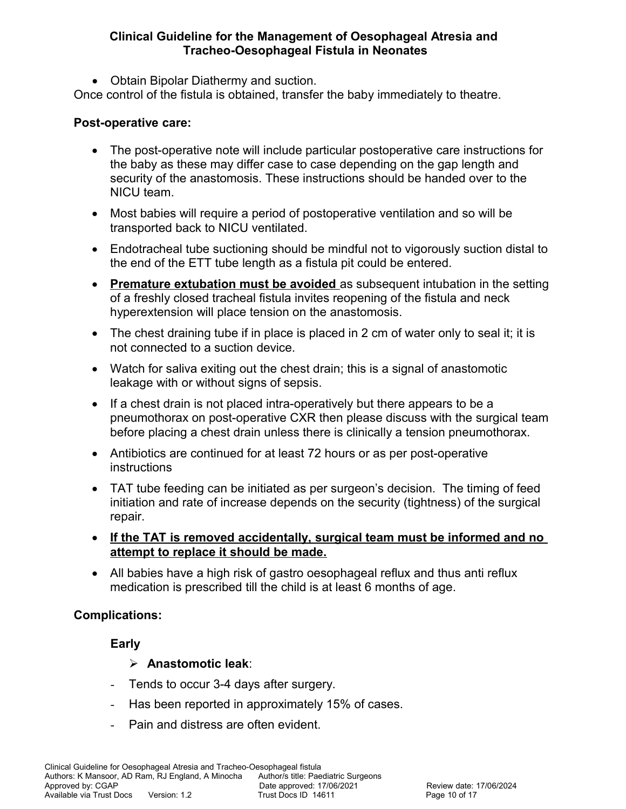Obtain Bipolar Diathermy and suction.

Once control of the fistula is obtained, transfer the baby immediately to theatre.

#### **Post-operative care:**

- The post-operative note will include particular postoperative care instructions for the baby as these may differ case to case depending on the gap length and security of the anastomosis. These instructions should be handed over to the NICU team.
- Most babies will require a period of postoperative ventilation and so will be transported back to NICU ventilated.
- Endotracheal tube suctioning should be mindful not to vigorously suction distal to the end of the ETT tube length as a fistula pit could be entered.
- **Premature extubation must be avoided** as subsequent intubation in the setting of a freshly closed tracheal fistula invites reopening of the fistula and neck hyperextension will place tension on the anastomosis.
- The chest draining tube if in place is placed in 2 cm of water only to seal it; it is not connected to a suction device.
- Watch for saliva exiting out the chest drain; this is a signal of anastomotic leakage with or without signs of sepsis.
- If a chest drain is not placed intra-operatively but there appears to be a pneumothorax on post-operative CXR then please discuss with the surgical team before placing a chest drain unless there is clinically a tension pneumothorax.
- Antibiotics are continued for at least 72 hours or as per post-operative instructions
- TAT tube feeding can be initiated as per surgeon's decision. The timing of feed initiation and rate of increase depends on the security (tightness) of the surgical repair.
- **If the TAT is removed accidentally, surgical team must be informed and no attempt to replace it should be made.**
- All babies have a high risk of gastro oesophageal reflux and thus anti reflux medication is prescribed till the child is at least 6 months of age.

# **Complications:**

# **Early**

## **Anastomotic leak**:

- Tends to occur 3-4 days after surgery.
- Has been reported in approximately 15% of cases.
- Pain and distress are often evident.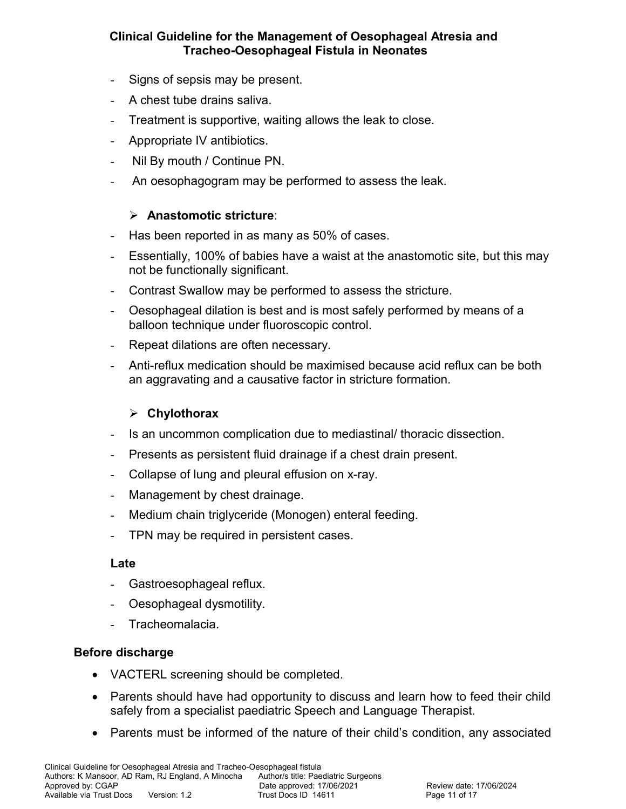- Signs of sepsis may be present.
- A chest tube drains saliva.
- Treatment is supportive, waiting allows the leak to close.
- Appropriate IV antibiotics.
- Nil By mouth / Continue PN.
- An oesophagogram may be performed to assess the leak.

## **Anastomotic stricture**:

- Has been reported in as many as 50% of cases.
- Essentially, 100% of babies have a waist at the anastomotic site, but this may not be functionally significant.
- Contrast Swallow may be performed to assess the stricture.
- Oesophageal dilation is best and is most safely performed by means of a balloon technique under fluoroscopic control.
- Repeat dilations are often necessary.
- Anti-reflux medication should be maximised because acid reflux can be both an aggravating and a causative factor in stricture formation.

## **Chylothorax**

- Is an uncommon complication due to mediastinal/ thoracic dissection.
- Presents as persistent fluid drainage if a chest drain present.
- Collapse of lung and pleural effusion on x-ray.
- Management by chest drainage.
- Medium chain triglyceride (Monogen) enteral feeding.
- TPN may be required in persistent cases.

#### **Late**

- Gastroesophageal reflux.
- Oesophageal dysmotility.
- Tracheomalacia.

#### **Before discharge**

- VACTERL screening should be completed.
- Parents should have had opportunity to discuss and learn how to feed their child safely from a specialist paediatric Speech and Language Therapist.
- Parents must be informed of the nature of their child's condition, any associated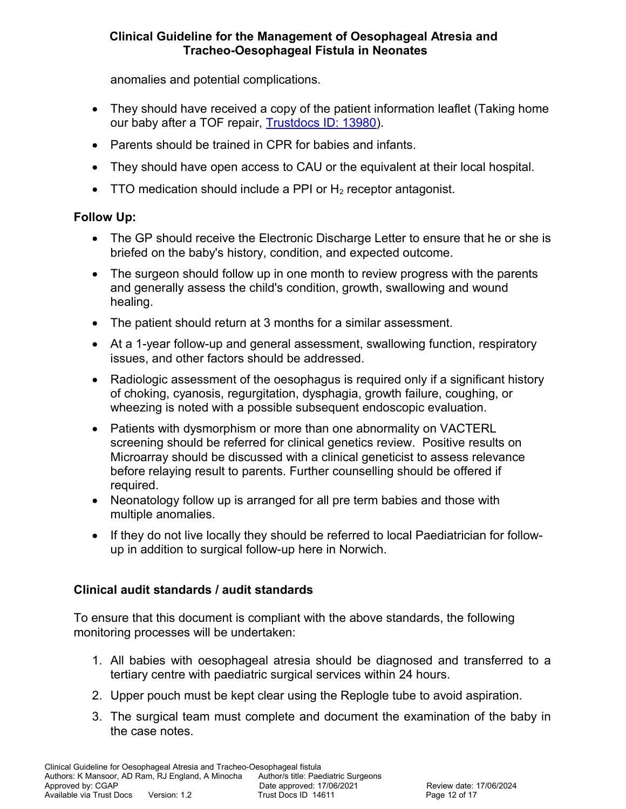anomalies and potential complications.

- They should have received a copy of the patient information leaflet (Taking home our baby after a TOF repair, [Trustdocs ID: 13980\)](http://trustdocs/Doc.aspx?id=13980).
- Parents should be trained in CPR for babies and infants.
- They should have open access to CAU or the equivalent at their local hospital.
- TTO medication should include a PPI or  $H_2$  receptor antagonist.

## **Follow Up:**

- The GP should receive the Electronic Discharge Letter to ensure that he or she is briefed on the baby's history, condition, and expected outcome.
- The surgeon should follow up in one month to review progress with the parents and generally assess the child's condition, growth, swallowing and wound healing.
- The patient should return at 3 months for a similar assessment.
- At a 1-year follow-up and general assessment, swallowing function, respiratory issues, and other factors should be addressed.
- Radiologic assessment of the oesophagus is required only if a significant history of choking, cyanosis, regurgitation, dysphagia, growth failure, coughing, or wheezing is noted with a possible subsequent endoscopic evaluation.
- Patients with dysmorphism or more than one abnormality on VACTERL screening should be referred for clinical genetics review. Positive results on Microarray should be discussed with a clinical geneticist to assess relevance before relaying result to parents. Further counselling should be offered if required.
- Neonatology follow up is arranged for all pre term babies and those with multiple anomalies.
- If they do not live locally they should be referred to local Paediatrician for followup in addition to surgical follow-up here in Norwich.

# **Clinical audit standards / audit standards**

To ensure that this document is compliant with the above standards, the following monitoring processes will be undertaken:

- 1. All babies with oesophageal atresia should be diagnosed and transferred to a tertiary centre with paediatric surgical services within 24 hours.
- 2. Upper pouch must be kept clear using the Replogle tube to avoid aspiration.
- 3. The surgical team must complete and document the examination of the baby in the case notes.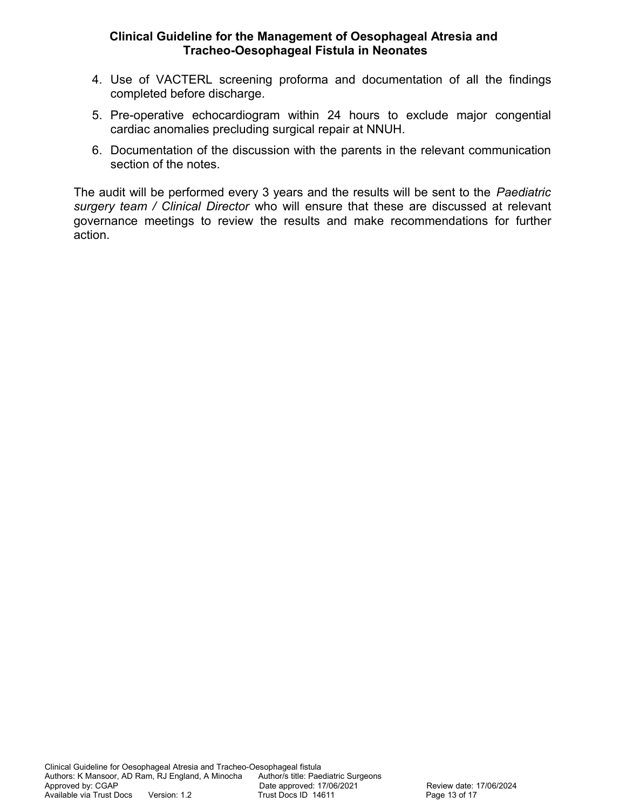- 4. Use of VACTERL screening proforma and documentation of all the findings completed before discharge.
- 5. Pre-operative echocardiogram within 24 hours to exclude major congential cardiac anomalies precluding surgical repair at NNUH.
- 6. Documentation of the discussion with the parents in the relevant communication section of the notes.

The audit will be performed every 3 years and the results will be sent to the *Paediatric surgery team / Clinical Director* who will ensure that these are discussed at relevant governance meetings to review the results and make recommendations for further action.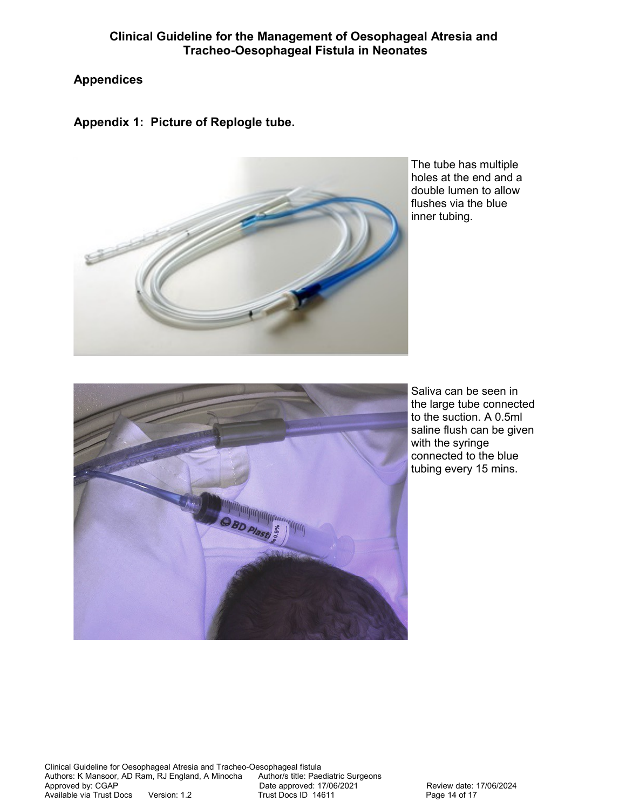# **Appendices**

**Appendix 1: Picture of Replogle tube.** 



The tube has multiple holes at the end and a double lumen to allow flushes via the blue inner tubing.



Saliva can be seen in the large tube connected to the suction. A 0.5ml saline flush can be given with the syringe connected to the blue tubing every 15 mins.

Clinical Guideline for Oesophageal Atresia and Tracheo-Oesophageal fistula<br>Authors: K Mansoor, AD Ram, RJ England, A Minocha Author/s title: Paediatric Surgeons Authors: K Mansoor, AD Ram, RJ England, A Minocha<br>Approved by: CGAP Date approved: 17/06/2021 Review date: 17/06/2024 Available via Trust Docs Version: 1.2 Trust Docs ID 14611 Page 14 of 17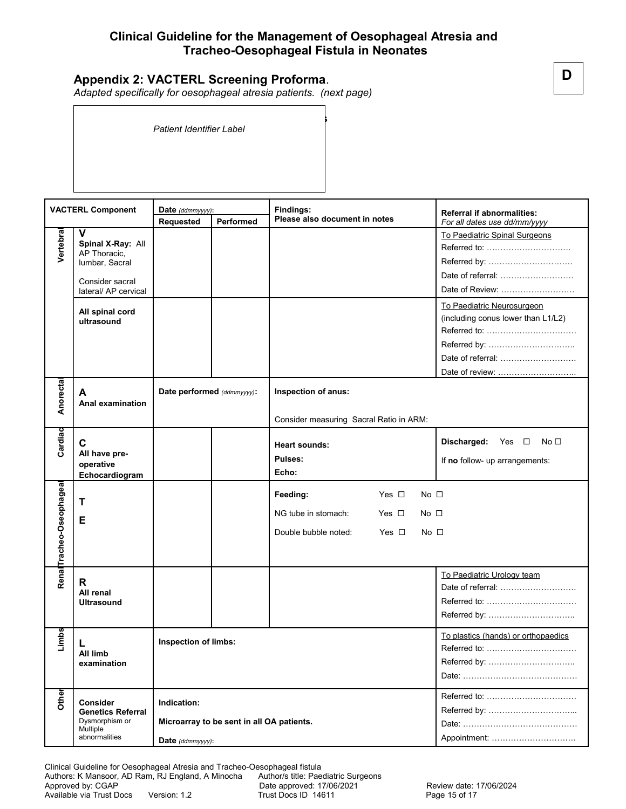#### **Appendix 2: VACTERL Screening Proforma**.

*Adapted specifically for oesophageal atresia patients. (next page)*

**VACTERL**: **Investigation and Referral Guidelines Oesophageal Atresia** *Patient Identifier Label*

**Date of admission** *(ddmmyyyy)*: ……………………. **Consultant:** …………………………………………..

**VACTERL Component Date** *(ddmmyyyy)***: Findings: Referral if abnormalities: Please also document in notes Requested Performed** *For all dates use dd/mm/yyyy* **V**  To Paediatric Spinal Surgeons **Vertebral Spinal X-Ray:** All Referred to: …………………………. AP Thoracic, Referred by: …………………………. lumbar, Sacral Date of referral: ……………………… Consider sacral Date of Review: ........................ lateral/ AP cervical To Paediatric Neurosurgeon **All spinal cord**  (including conus lower than L1/L2) **ultrasound** Referred to: …………………………… Referred by: ………………………….. Date of referral: ………………………. Date of review: ……………………….. **Anorectal Date performed** *(ddmmyyyy)***: Inspection of anus: A Anal examination** Consider measuring Sacral Ratio in ARM: **Cardiac C Discharged:** Yes □ No □ **Heart sounds: All have pre-Pulses:** If **no** follow- up arrangements: **operative Echo: Echocardiogram Tracheo-Oseophageal** Tracheo-Oseophagea Feeding: **Yes I No I T** NG tube in stomach: Yes  $\Box$  No  $\Box$ **E** Double bubble noted:  $Yes \Box \qquad No \Box$ **Renal** To Paediatric Urology team **R** Date of referral: ………………………. **All renal Ultrasound** Referred to: …………………………… Referred by: ………………………….. **Limbs** To plastics (hands) or orthopaedics **Inspection of limbs: L** Referred to: …………………………… **All limb**  Referred by: ………………………….. **examination** Date: …………………………………… **Other** Referred to: …………………………… **Consider Indication:**  Referred by: …………………………... **Genetics Referral** Dysmorphism or **Microarray to be sent in all OA patients.**  Date: …………………………………… **Multiple** abnormalities Appointment: …………………………. **Date** *(ddmmyyyy)***:**

Clinical Guideline for Oesophageal Atresia and Tracheo-Oesophageal fistula

Authors: K Mansoor, AD Ram, RJ England, A Minocha Author/s title: Paediatric Surgeons<br>Approved by: CGAP Date approved: 17/06/2021

Available via Trust Docs Version: 1.2 Trust Docs ID 14611 Page 15 of 17

Date approved: 17/06/2021 Review date: 17/06/2024

**D**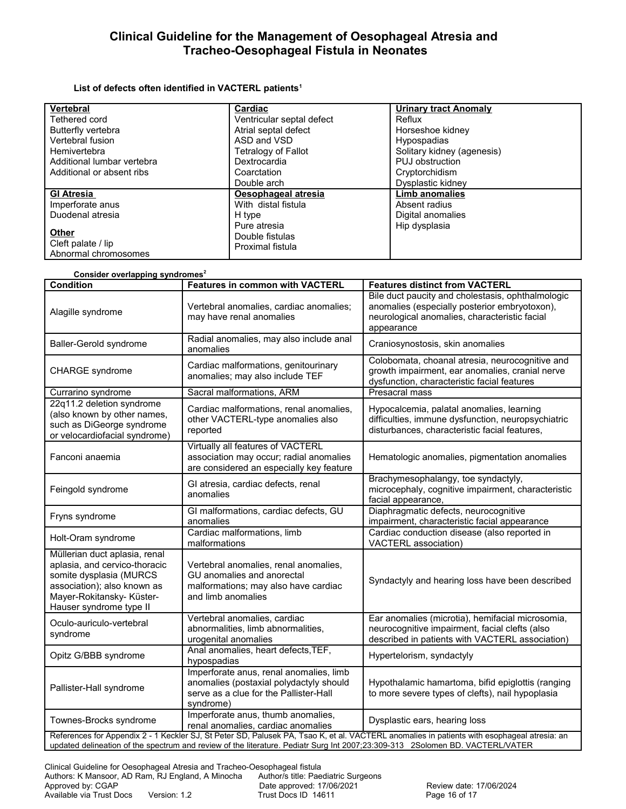#### **List of defects often identified in VACTERL patients<sup>1</sup>**

| Vertebral                  | Cardiac                   | <b>Urinary tract Anomaly</b> |
|----------------------------|---------------------------|------------------------------|
| Tethered cord              | Ventricular septal defect | Reflux                       |
| Butterfly vertebra         | Atrial septal defect      | Horseshoe kidney             |
| Vertebral fusion           | ASD and VSD               | Hypospadias                  |
| Hemivertebra               | Tetralogy of Fallot       | Solitary kidney (agenesis)   |
| Additional lumbar vertebra | Dextrocardia              | PUJ obstruction              |
| Additional or absent ribs  | Coarctation               | Cryptorchidism               |
|                            | Double arch               | Dysplastic kidney            |
| <b>GI Atresia</b>          | Oesophageal atresia       | <b>Limb anomalies</b>        |
| Imperforate anus           | With distal fistula       | Absent radius                |
| Duodenal atresia           | H type                    | Digital anomalies            |
|                            | Pure atresia              | Hip dysplasia                |
| Other                      | Double fistulas           |                              |
| Cleft palate / lip         | Proximal fistula          |                              |
| Abnormal chromosomes       |                           |                              |

| Consider overlapping syndromes <sup>2</sup>                                                                                                                                                                                                                                  |                                                                                                                                           |                                                                                                                                                                   |  |
|------------------------------------------------------------------------------------------------------------------------------------------------------------------------------------------------------------------------------------------------------------------------------|-------------------------------------------------------------------------------------------------------------------------------------------|-------------------------------------------------------------------------------------------------------------------------------------------------------------------|--|
| <b>Condition</b>                                                                                                                                                                                                                                                             | <b>Features in common with VACTERL</b>                                                                                                    | <b>Features distinct from VACTERL</b>                                                                                                                             |  |
| Alagille syndrome                                                                                                                                                                                                                                                            | Vertebral anomalies, cardiac anomalies;<br>may have renal anomalies                                                                       | Bile duct paucity and cholestasis, ophthalmologic<br>anomalies (especially posterior embryotoxon),<br>neurological anomalies, characteristic facial<br>appearance |  |
| Baller-Gerold syndrome                                                                                                                                                                                                                                                       | Radial anomalies, may also include anal<br>anomalies                                                                                      | Craniosynostosis, skin anomalies                                                                                                                                  |  |
| CHARGE syndrome                                                                                                                                                                                                                                                              | Cardiac malformations, genitourinary<br>anomalies; may also include TEF                                                                   | Colobomata, choanal atresia, neurocognitive and<br>growth impairment, ear anomalies, cranial nerve<br>dysfunction, characteristic facial features                 |  |
| Currarino syndrome                                                                                                                                                                                                                                                           | Sacral malformations, ARM                                                                                                                 | Presacral mass                                                                                                                                                    |  |
| 22q11.2 deletion syndrome<br>(also known by other names,<br>such as DiGeorge syndrome<br>or velocardiofacial syndrome)                                                                                                                                                       | Cardiac malformations, renal anomalies,<br>other VACTERL-type anomalies also<br>reported                                                  | Hypocalcemia, palatal anomalies, learning<br>difficulties, immune dysfunction, neuropsychiatric<br>disturbances, characteristic facial features,                  |  |
| Fanconi anaemia                                                                                                                                                                                                                                                              | Virtually all features of VACTERL<br>association may occur; radial anomalies<br>are considered an especially key feature                  | Hematologic anomalies, pigmentation anomalies                                                                                                                     |  |
| Feingold syndrome                                                                                                                                                                                                                                                            | GI atresia, cardiac defects, renal<br>anomalies                                                                                           | Brachymesophalangy, toe syndactyly,<br>microcephaly, cognitive impairment, characteristic<br>facial appearance,                                                   |  |
| Fryns syndrome                                                                                                                                                                                                                                                               | GI malformations, cardiac defects, GU<br>anomalies                                                                                        | Diaphragmatic defects, neurocognitive<br>impairment, characteristic facial appearance                                                                             |  |
| Holt-Oram syndrome                                                                                                                                                                                                                                                           | Cardiac malformations, limb<br>malformations                                                                                              | Cardiac conduction disease (also reported in<br>VACTERL association)                                                                                              |  |
| Müllerian duct aplasia, renal<br>aplasia, and cervico-thoracic<br>somite dysplasia (MURCS<br>association); also known as<br>Mayer-Rokitansky- Küster-<br>Hauser syndrome type II                                                                                             | Vertebral anomalies, renal anomalies,<br>GU anomalies and anorectal<br>malformations; may also have cardiac<br>and limb anomalies         | Syndactyly and hearing loss have been described                                                                                                                   |  |
| Oculo-auriculo-vertebral<br>syndrome                                                                                                                                                                                                                                         | Vertebral anomalies, cardiac<br>abnormalities, limb abnormalities,<br>urogenital anomalies                                                | Ear anomalies (microtia), hemifacial microsomia,<br>neurocognitive impairment, facial clefts (also<br>described in patients with VACTERL association)             |  |
| Opitz G/BBB syndrome                                                                                                                                                                                                                                                         | Anal anomalies, heart defects, TEF,<br>hypospadias                                                                                        | Hypertelorism, syndactyly                                                                                                                                         |  |
| Pallister-Hall syndrome                                                                                                                                                                                                                                                      | Imperforate anus, renal anomalies, limb<br>anomalies (postaxial polydactyly should<br>serve as a clue for the Pallister-Hall<br>syndrome) | Hypothalamic hamartoma, bifid epiglottis (ranging<br>to more severe types of clefts), nail hypoplasia                                                             |  |
| Townes-Brocks syndrome                                                                                                                                                                                                                                                       | Imperforate anus, thumb anomalies,<br>renal anomalies, cardiac anomalies                                                                  | Dysplastic ears, hearing loss                                                                                                                                     |  |
| References for Appendix 2 - 1 Keckler SJ, St Peter SD, Palusek PA, Tsao K, et al. VACTERL anomalies in patients with esophageal atresia: an<br>updated delineation of the spectrum and review of the literature. Pediatr Surg Int 2007;23:309-313 2Solomen BD. VACTERL/VATER |                                                                                                                                           |                                                                                                                                                                   |  |

Clinical Guideline for Oesophageal Atresia and Tracheo-Oesophageal fistula<br>Authors: K Mansoor, AD Ram, RJ England, A Minocha Author/s title: Paediatric Surgeons Authors: K Mansoor, AD Ram, RJ England, A Minocha<br>Approved by: CGAP Date approved: 17/06/2021 Review date: 17/06/2024 Available via Trust Docs Version: 1.2 Trust Docs ID 14611 Page 16 of 17